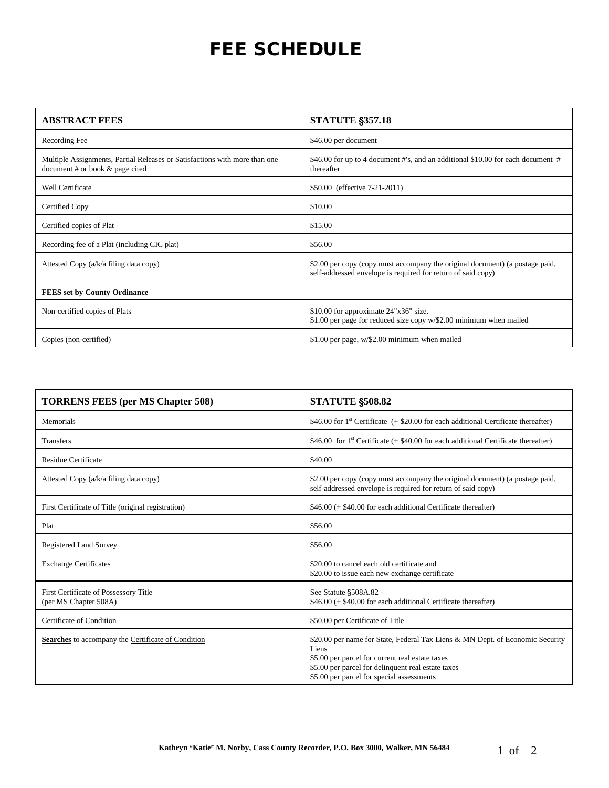## FEE SCHEDULE

| <b>ABSTRACT FEES</b>                                                                                            | <b>STATUTE §357.18</b>                                                                                                                       |
|-----------------------------------------------------------------------------------------------------------------|----------------------------------------------------------------------------------------------------------------------------------------------|
| Recording Fee                                                                                                   | \$46.00 per document                                                                                                                         |
| Multiple Assignments, Partial Releases or Satisfactions with more than one<br>document # or book $&$ page cited | \$46.00 for up to 4 document #'s, and an additional \$10.00 for each document #<br>thereafter                                                |
| Well Certificate                                                                                                | \$50.00 (effective 7-21-2011)                                                                                                                |
| Certified Copy                                                                                                  | \$10.00                                                                                                                                      |
| Certified copies of Plat                                                                                        | \$15.00                                                                                                                                      |
| Recording fee of a Plat (including CIC plat)                                                                    | \$56.00                                                                                                                                      |
| Attested Copy (a/k/a filing data copy)                                                                          | \$2.00 per copy (copy must accompany the original document) (a postage paid,<br>self-addressed envelope is required for return of said copy) |
| <b>FEES set by County Ordinance</b>                                                                             |                                                                                                                                              |
| Non-certified copies of Plats                                                                                   | \$10.00 for approximate 24"x36" size.<br>\$1.00 per page for reduced size copy $w$ /\$2.00 minimum when mailed                               |
| Copies (non-certified)                                                                                          | \$1.00 per page, $w$ /\$2.00 minimum when mailed                                                                                             |

| <b>TORRENS FEES (per MS Chapter 508)</b>                       | <b>STATUTE §508.82</b>                                                                                                                                                                                                                       |
|----------------------------------------------------------------|----------------------------------------------------------------------------------------------------------------------------------------------------------------------------------------------------------------------------------------------|
| Memorials                                                      | \$46.00 for $1^{\text{st}}$ Certificate (+ \$20.00 for each additional Certificate thereafter)                                                                                                                                               |
| <b>Transfers</b>                                               | \$46.00 for 1 <sup>st</sup> Certificate (+ \$40.00 for each additional Certificate thereafter)                                                                                                                                               |
| <b>Residue Certificate</b>                                     | \$40.00                                                                                                                                                                                                                                      |
| Attested Copy (a/k/a filing data copy)                         | \$2.00 per copy (copy must accompany the original document) (a postage paid,<br>self-addressed envelope is required for return of said copy)                                                                                                 |
| First Certificate of Title (original registration)             | \$46.00 (+ \$40.00 for each additional Certificate thereafter)                                                                                                                                                                               |
| Plat                                                           | \$56.00                                                                                                                                                                                                                                      |
| <b>Registered Land Survey</b>                                  | \$56.00                                                                                                                                                                                                                                      |
| <b>Exchange Certificates</b>                                   | \$20,00 to cancel each old certificate and<br>\$20.00 to issue each new exchange certificate                                                                                                                                                 |
| First Certificate of Possessory Title<br>(per MS Chapter 508A) | See Statute §508A.82 -<br>\$46.00 (+ \$40.00 for each additional Certificate thereafter)                                                                                                                                                     |
| Certificate of Condition                                       | \$50.00 per Certificate of Title                                                                                                                                                                                                             |
| Searches to accompany the Certificate of Condition             | \$20.00 per name for State, Federal Tax Liens & MN Dept. of Economic Security<br>Liens<br>\$5.00 per parcel for current real estate taxes<br>\$5.00 per parcel for delinquent real estate taxes<br>\$5.00 per parcel for special assessments |